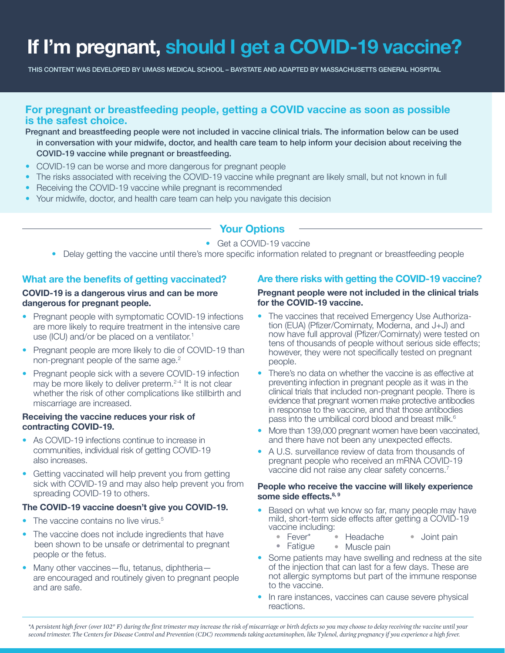# **If I'm pregnant, should I get a COVID-19 vaccine?**

THIS CONTENT WAS DEVELOPED BY UMASS MEDICAL SCHOOL – BAYSTATE AND ADAPTED BY MASSACHUSETTS GENERAL HOSPITAL

# **For pregnant or breastfeeding people, getting a COVID vaccine as soon as possible is the safest choice.**

- Pregnant and breastfeeding people were not included in vaccine clinical trials. The information below can be used in conversation with your midwife, doctor, and health care team to help inform your decision about receiving the COVID-19 vaccine while pregnant or breastfeeding.
- COVID-19 can be worse and more dangerous for pregnant people
- The risks associated with receiving the COVID-19 vaccine while pregnant are likely small, but not known in full
- Receiving the COVID-19 vaccine while pregnant is recommended
- Your midwife, doctor, and health care team can help you navigate this decision

# **Your Options**

## • Get a COVID-19 vaccine

• Delay getting the vaccine until there's more specific information related to pregnant or breastfeeding people

# **What are the benefits of getting vaccinated?**

## **COVID-19 is a dangerous virus and can be more dangerous for pregnant people.**

- Pregnant people with symptomatic COVID-19 infections are more likely to require treatment in the intensive care use (ICU) and/or be placed on a ventilator.<sup>1</sup>
- Pregnant people are more likely to die of COVID-19 than non-pregnant people of the same age.<sup>2</sup>
- Pregnant people sick with a severe COVID-19 infection may be more likely to deliver preterm.<sup>2-4</sup> It is not clear whether the risk of other complications like stillbirth and miscarriage are increased.

## **Receiving the vaccine reduces your risk of contracting COVID-19.**

- As COVID-19 infections continue to increase in communities, individual risk of getting COVID-19 also increases.
- Getting vaccinated will help prevent you from getting sick with COVID-19 and may also help prevent you from spreading COVID-19 to others.

## **The COVID-19 vaccine doesn't give you COVID-19.**

- The vaccine contains no live virus.<sup>5</sup>
- The vaccine does not include ingredients that have been shown to be unsafe or detrimental to pregnant people or the fetus.
- Many other vaccines—flu, tetanus, diphtheria are encouraged and routinely given to pregnant people and are safe.

# **Are there risks with getting the COVID-19 vaccine?**

#### **Pregnant people were not included in the clinical trials for the COVID-19 vaccine.**

- The vaccines that received Emergency Use Authorization (EUA) (Pfizer/Comirnaty, Moderna, and J+J) and now have full approval (Pfizer/Comirnaty) were tested on tens of thousands of people without serious side effects; however, they were not specifically tested on pregnant people.
- There's no data on whether the vaccine is as effective at preventing infection in pregnant people as it was in the clinical trials that included non-pregnant people. There is evidence that pregnant women make protective antibodies in response to the vaccine, and that those antibodies pass into the umbilical cord blood and breast milk.<sup>6</sup>
- More than 139,000 pregnant women have been vaccinated, and there have not been any unexpected effects.
- A U.S. surveillance review of data from thousands of pregnant people who received an mRNA COVID-19 vaccine did not raise any clear safety concerns.<sup>7</sup>

#### **People who receive the vaccine will likely experience some side effects.8, 9**

- Based on what we know so far, many people may have mild, short-term side effects after getting a COVID-19 vaccine including:
	- Fever\* • Headache • Joint pain
	- Fatigue • Muscle pain
- Some patients may have swelling and redness at the site of the injection that can last for a few days. These are not allergic symptoms but part of the immune response to the vaccine.
- In rare instances, vaccines can cause severe physical reactions.

*\*A persistent high fever (over 102° F) during the first trimester may increase the risk of miscarriage or birth defects so you may choose to delay receiving the vaccine until your second trimester. The Centers for Disease Control and Prevention (CDC) recommends taking acetaminophen, like Tylenol, during pregnancy if you experience a high fever.*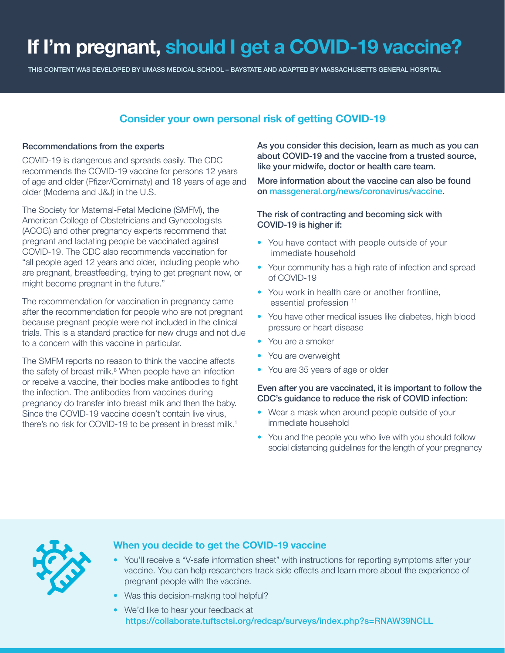# **If I'm pregnant, should I get a COVID-19 vaccine?**

THIS CONTENT WAS DEVELOPED BY UMASS MEDICAL SCHOOL – BAYSTATE AND ADAPTED BY MASSACHUSETTS GENERAL HOSPITAL

# **Consider your own personal risk of getting COVID-19**

## Recommendations from the experts

COVID-19 is dangerous and spreads easily. The CDC recommends the COVID-19 vaccine for persons 12 years of age and older (Pfizer/Comirnaty) and 18 years of age and older (Moderna and J&J) in the U.S.

The Society for Maternal-Fetal Medicine (SMFM), the American College of Obstetricians and Gynecologists (ACOG) and other pregnancy experts recommend that pregnant and lactating people be vaccinated against COVID-19. The CDC also recommends vaccination for "all people aged 12 years and older, including people who are pregnant, breastfeeding, trying to get pregnant now, or might become pregnant in the future."

The recommendation for vaccination in pregnancy came after the recommendation for people who are not pregnant because pregnant people were not included in the clinical trials. This is a standard practice for new drugs and not due to a concern with this vaccine in particular.

The SMFM reports no reason to think the vaccine affects the safety of breast milk.<sup>8</sup> When people have an infection or receive a vaccine, their bodies make antibodies to fight the infection. The antibodies from vaccines during pregnancy do transfer into breast milk and then the baby. Since the COVID-19 vaccine doesn't contain live virus, there's no risk for COVID-19 to be present in breast milk.<sup>1</sup>

As you consider this decision, learn as much as you can about COVID-19 and the vaccine from a trusted source, like your midwife, doctor or health care team.

More information about the vaccine can also be found on massgeneral.org/news/coronavirus/vaccine.

## The risk of contracting and becoming sick with COVID-19 is higher if:

- You have contact with people outside of your immediate household
- Your community has a high rate of infection and spread of COVID-19
- You work in health care or another frontline, essential profession<sup>11</sup>
- You have other medical issues like diabetes, high blood pressure or heart disease
- You are a smoker
- You are overweight
- You are 35 years of age or older

## Even after you are vaccinated, it is important to follow the CDC's guidance to reduce the risk of COVID infection:

- Wear a mask when around people outside of your immediate household
- You and the people you who live with you should follow social distancing guidelines for the length of your pregnancy



## **When you decide to get the COVID-19 vaccine**

- You'll receive a "V-safe information sheet" with instructions for reporting symptoms after your vaccine. You can help researchers track side effects and learn more about the experience of pregnant people with the vaccine.
- Was this decision-making tool helpful?
- We'd like to hear your feedback at https://collaborate.tuftsctsi.org/redcap/surveys/index.php?s=RNAW39NCLL